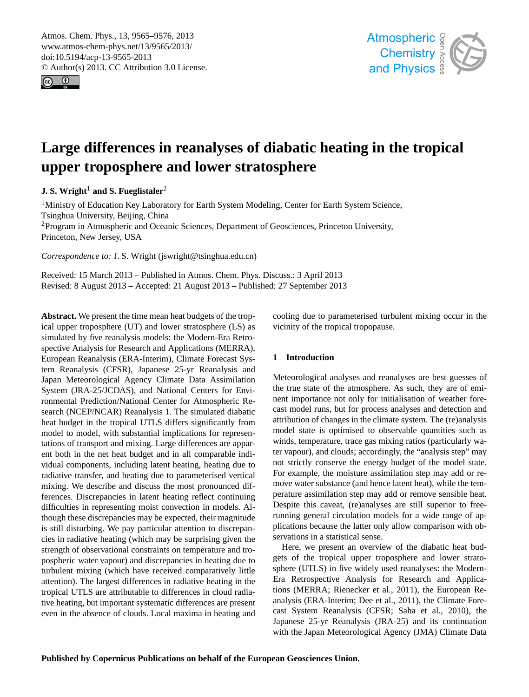<span id="page-0-0"></span>Atmos. Chem. Phys., 13, 9565–9576, 2013 www.atmos-chem-phys.net/13/9565/2013/ doi:10.5194/acp-13-9565-2013 © Author(s) 2013. CC Attribution 3.0 License.





# **Large differences in reanalyses of diabatic heating in the tropical upper troposphere and lower stratosphere**

# **J. S. Wright<sup>1</sup> and S. Fueglistaler<sup>2</sup>**

<sup>1</sup>Ministry of Education Key Laboratory for Earth System Modeling, Center for Earth System Science, Tsinghua University, Beijing, China <sup>2</sup>Program in Atmospheric and Oceanic Sciences, Department of Geosciences, Princeton University, Princeton, New Jersey, USA

*Correspondence to:* J. S. Wright (jswright@tsinghua.edu.cn)

Received: 15 March 2013 – Published in Atmos. Chem. Phys. Discuss.: 3 April 2013 Revised: 8 August 2013 – Accepted: 21 August 2013 – Published: 27 September 2013

**Abstract.** We present the time mean heat budgets of the tropical upper troposphere (UT) and lower stratosphere (LS) as simulated by five reanalysis models: the Modern-Era Retrospective Analysis for Research and Applications (MERRA), European Reanalysis (ERA-Interim), Climate Forecast System Reanalysis (CFSR), Japanese 25-yr Reanalysis and Japan Meteorological Agency Climate Data Assimilation System (JRA-25/JCDAS), and National Centers for Environmental Prediction/National Center for Atmospheric Research (NCEP/NCAR) Reanalysis 1. The simulated diabatic heat budget in the tropical UTLS differs significantly from model to model, with substantial implications for representations of transport and mixing. Large differences are apparent both in the net heat budget and in all comparable individual components, including latent heating, heating due to radiative transfer, and heating due to parameterised vertical mixing. We describe and discuss the most pronounced differences. Discrepancies in latent heating reflect continuing difficulties in representing moist convection in models. Although these discrepancies may be expected, their magnitude is still disturbing. We pay particular attention to discrepancies in radiative heating (which may be surprising given the strength of observational constraints on temperature and tropospheric water vapour) and discrepancies in heating due to turbulent mixing (which have received comparatively little attention). The largest differences in radiative heating in the tropical UTLS are attributable to differences in cloud radiative heating, but important systematic differences are present even in the absence of clouds. Local maxima in heating and cooling due to parameterised turbulent mixing occur in the vicinity of the tropical tropopause.

# **1 Introduction**

Meteorological analyses and reanalyses are best guesses of the true state of the atmosphere. As such, they are of eminent importance not only for initialisation of weather forecast model runs, but for process analyses and detection and attribution of changes in the climate system. The (re)analysis model state is optimised to observable quantities such as winds, temperature, trace gas mixing ratios (particularly water vapour), and clouds; accordingly, the "analysis step" may not strictly conserve the energy budget of the model state. For example, the moisture assimilation step may add or remove water substance (and hence latent heat), while the temperature assimilation step may add or remove sensible heat. Despite this caveat, (re)analyses are still superior to freerunning general circulation models for a wide range of applications because the latter only allow comparison with observations in a statistical sense.

Here, we present an overview of the diabatic heat budgets of the tropical upper troposphere and lower stratosphere (UTLS) in five widely used reanalyses: the Modern-Era Retrospective Analysis for Research and Applications (MERRA; [Rienecker et al.,](#page-11-0) [2011\)](#page-11-0), the European Reanalysis (ERA-Interim; [Dee et al.,](#page-10-0) [2011\)](#page-10-0), the Climate Forecast System Reanalysis (CFSR; [Saha et al.,](#page-11-1) [2010\)](#page-11-1), the Japanese 25-yr Reanalysis (JRA-25) and its continuation with the Japan Meteorological Agency (JMA) Climate Data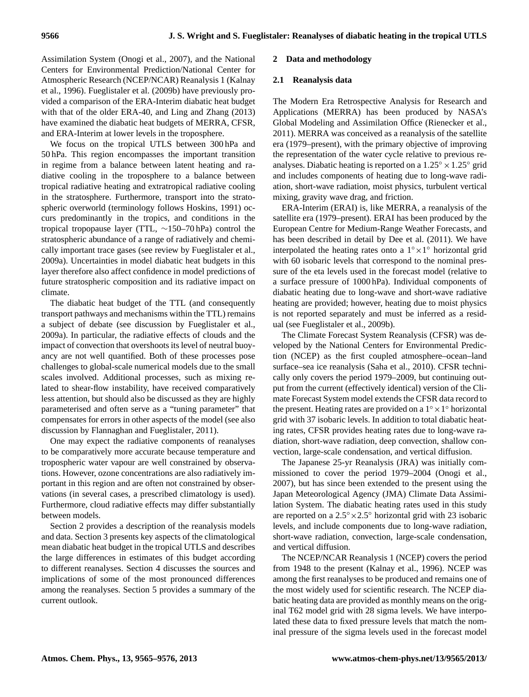Assimilation System [\(Onogi et al.,](#page-10-1) [2007\)](#page-10-1), and the National Centers for Environmental Prediction/National Center for Atmospheric Research (NCEP/NCAR) Reanalysis 1 [\(Kalnay](#page-10-2) [et al.,](#page-10-2) [1996\)](#page-10-2). [Fueglistaler et al.](#page-10-3) [\(2009b\)](#page-10-3) have previously provided a comparison of the ERA-Interim diabatic heat budget with that of the older ERA-40, and [Ling and Zhang](#page-10-4) [\(2013\)](#page-10-4) have examined the diabatic heat budgets of MERRA, CFSR, and ERA-Interim at lower levels in the troposphere.

We focus on the tropical UTLS between 300 hPa and 50 hPa. This region encompasses the important transition in regime from a balance between latent heating and radiative cooling in the troposphere to a balance between tropical radiative heating and extratropical radiative cooling in the stratosphere. Furthermore, transport into the stratospheric overworld (terminology follows [Hoskins,](#page-10-5) [1991\)](#page-10-5) occurs predominantly in the tropics, and conditions in the tropical tropopause layer (TTL, ∼150–70 hPa) control the stratospheric abundance of a range of radiatively and chemically important trace gases (see review by [Fueglistaler et al.,](#page-10-6) [2009a\)](#page-10-6). Uncertainties in model diabatic heat budgets in this layer therefore also affect confidence in model predictions of future stratospheric composition and its radiative impact on climate.

The diabatic heat budget of the TTL (and consequently transport pathways and mechanisms within the TTL) remains a subject of debate (see discussion by [Fueglistaler et al.,](#page-10-6) [2009a\)](#page-10-6). In particular, the radiative effects of clouds and the impact of convection that overshoots its level of neutral buoyancy are not well quantified. Both of these processes pose challenges to global-scale numerical models due to the small scales involved. Additional processes, such as mixing related to shear-flow instability, have received comparatively less attention, but should also be discussed as they are highly parameterised and often serve as a "tuning parameter" that compensates for errors in other aspects of the model (see also discussion by [Flannaghan and Fueglistaler,](#page-10-7) [2011\)](#page-10-7).

One may expect the radiative components of reanalyses to be comparatively more accurate because temperature and tropospheric water vapour are well constrained by observations. However, ozone concentrations are also radiatively important in this region and are often not constrained by observations (in several cases, a prescribed climatology is used). Furthermore, cloud radiative effects may differ substantially between models.

Section [2](#page-1-0) provides a description of the reanalysis models and data. Section [3](#page-2-0) presents key aspects of the climatological mean diabatic heat budget in the tropical UTLS and describes the large differences in estimates of this budget according to different reanalyses. Section [4](#page-7-0) discusses the sources and implications of some of the most pronounced differences among the reanalyses. Section [5](#page-9-0) provides a summary of the current outlook.

#### <span id="page-1-0"></span>**2 Data and methodology**

#### **2.1 Reanalysis data**

The Modern Era Retrospective Analysis for Research and Applications (MERRA) has been produced by NASA's Global Modeling and Assimilation Office [\(Rienecker et al.,](#page-11-0) [2011\)](#page-11-0). MERRA was conceived as a reanalysis of the satellite era (1979–present), with the primary objective of improving the representation of the water cycle relative to previous reanalyses. Diabatic heating is reported on a  $1.25^\circ \times 1.25^\circ$  grid and includes components of heating due to long-wave radiation, short-wave radiation, moist physics, turbulent vertical mixing, gravity wave drag, and friction.

ERA-Interim (ERAI) is, like MERRA, a reanalysis of the satellite era (1979–present). ERAI has been produced by the European Centre for Medium-Range Weather Forecasts, and has been described in detail by [Dee et al.](#page-10-0) [\(2011\)](#page-10-0). We have interpolated the heating rates onto a  $1^\circ \times 1^\circ$  horizontal grid with 60 isobaric levels that correspond to the nominal pressure of the eta levels used in the forecast model (relative to a surface pressure of 1000 hPa). Individual components of diabatic heating due to long-wave and short-wave radiative heating are provided; however, heating due to moist physics is not reported separately and must be inferred as a residual (see [Fueglistaler et al.,](#page-10-3) [2009b\)](#page-10-3).

The Climate Forecast System Reanalysis (CFSR) was developed by the National Centers for Environmental Prediction (NCEP) as the first coupled atmosphere–ocean–land surface–sea ice reanalysis [\(Saha et al.,](#page-11-1) [2010\)](#page-11-1). CFSR technically only covers the period 1979–2009, but continuing output from the current (effectively identical) version of the Climate Forecast System model extends the CFSR data record to the present. Heating rates are provided on a  $1^\circ \times 1^\circ$  horizontal grid with 37 isobaric levels. In addition to total diabatic heating rates, CFSR provides heating rates due to long-wave radiation, short-wave radiation, deep convection, shallow convection, large-scale condensation, and vertical diffusion.

The Japanese 25-yr Reanalysis (JRA) was initially commissioned to cover the period 1979–2004 [\(Onogi et al.,](#page-10-1) [2007\)](#page-10-1), but has since been extended to the present using the Japan Meteorological Agency (JMA) Climate Data Assimilation System. The diabatic heating rates used in this study are reported on a  $2.5° \times 2.5°$  horizontal grid with 23 isobaric levels, and include components due to long-wave radiation, short-wave radiation, convection, large-scale condensation, and vertical diffusion.

The NCEP/NCAR Reanalysis 1 (NCEP) covers the period from 1948 to the present [\(Kalnay et al.,](#page-10-2) [1996\)](#page-10-2). NCEP was among the first reanalyses to be produced and remains one of the most widely used for scientific research. The NCEP diabatic heating data are provided as monthly means on the original T62 model grid with 28 sigma levels. We have interpolated these data to fixed pressure levels that match the nominal pressure of the sigma levels used in the forecast model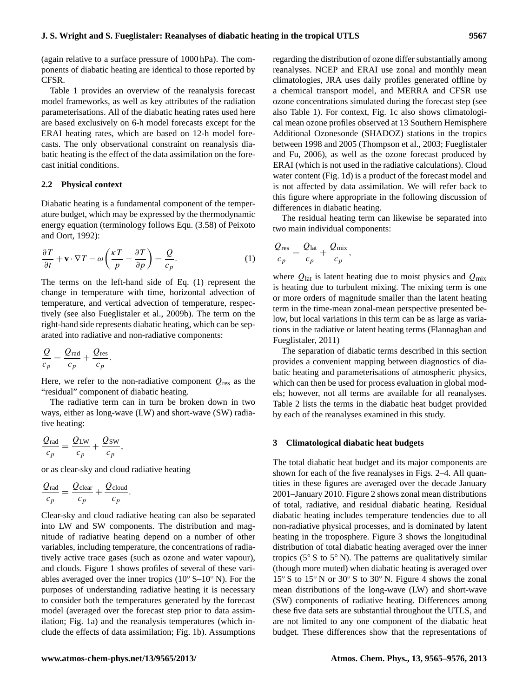(again relative to a surface pressure of 1000 hPa). The components of diabatic heating are identical to those reported by CFSR.

Table [1](#page-3-0) provides an overview of the reanalysis forecast model frameworks, as well as key attributes of the radiation parameterisations. All of the diabatic heating rates used here are based exclusively on 6-h model forecasts except for the ERAI heating rates, which are based on 12-h model forecasts. The only observational constraint on reanalysis diabatic heating is the effect of the data assimilation on the forecast initial conditions.

## **2.2 Physical context**

Diabatic heating is a fundamental component of the temperature budget, which may be expressed by the thermodynamic energy equation (terminology follows Equ. (3.58) of [Peixoto](#page-10-8) [and Oort,](#page-10-8) [1992\)](#page-10-8):

<span id="page-2-1"></span>
$$
\frac{\partial T}{\partial t} + \mathbf{v} \cdot \nabla T - \omega \left( \frac{\kappa T}{p} - \frac{\partial T}{\partial p} \right) = \frac{Q}{c_p}.
$$
 (1)

The terms on the left-hand side of Eq. [\(1\)](#page-2-1) represent the change in temperature with time, horizontal advection of temperature, and vertical advection of temperature, respectively (see also [Fueglistaler et al.,](#page-10-3) [2009b\)](#page-10-3). The term on the right-hand side represents diabatic heating, which can be separated into radiative and non-radiative components:

$$
\frac{Q}{c_p} = \frac{Q_{\text{rad}}}{c_p} + \frac{Q_{\text{res}}}{c_p}.
$$

Here, we refer to the non-radiative component  $Q_{\text{res}}$  as the "residual" component of diabatic heating.

The radiative term can in turn be broken down in two ways, either as long-wave (LW) and short-wave (SW) radiative heating:

$$
\frac{Q_{\text{rad}}}{c_p} = \frac{Q_{\text{LW}}}{c_p} + \frac{Q_{\text{SW}}}{c_p},
$$

or as clear-sky and cloud radiative heating

$$
\frac{Q_{\text{rad}}}{c_p} = \frac{Q_{\text{clear}}}{c_p} + \frac{Q_{\text{cloud}}}{c_p}.
$$

Clear-sky and cloud radiative heating can also be separated into LW and SW components. The distribution and magnitude of radiative heating depend on a number of other variables, including temperature, the concentrations of radiatively active trace gases (such as ozone and water vapour), and clouds. Figure [1](#page-3-1) shows profiles of several of these variables averaged over the inner tropics ( $10° S-10° N$ ). For the purposes of understanding radiative heating it is necessary to consider both the temperatures generated by the forecast model (averaged over the forecast step prior to data assimilation; Fig. [1a](#page-3-1)) and the reanalysis temperatures (which include the effects of data assimilation; Fig. [1b](#page-3-1)). Assumptions regarding the distribution of ozone differ substantially among reanalyses. NCEP and ERAI use zonal and monthly mean climatologies, JRA uses daily profiles generated offline by a chemical transport model, and MERRA and CFSR use ozone concentrations simulated during the forecast step (see also Table [1\)](#page-3-0). For context, Fig. [1c](#page-3-1) also shows climatological mean ozone profiles observed at 13 Southern Hemisphere Additional Ozonesonde (SHADOZ) stations in the tropics between 1998 and 2005 [\(Thompson et al.,](#page-11-2) [2003;](#page-11-2) [Fueglistaler](#page-10-9) [and Fu,](#page-10-9) [2006\)](#page-10-9), as well as the ozone forecast produced by ERAI (which is not used in the radiative calculations). Cloud water content (Fig. [1d](#page-3-1)) is a product of the forecast model and is not affected by data assimilation. We will refer back to this figure where appropriate in the following discussion of differences in diabatic heating.

The residual heating term can likewise be separated into two main individual components:

,

$$
\frac{Q_{\text{res}}}{c_p} = \frac{Q_{\text{lat}}}{c_p} + \frac{Q_{\text{mix}}}{c_p}
$$

where  $Q_{\text{lat}}$  is latent heating due to moist physics and  $Q_{\text{mix}}$ is heating due to turbulent mixing. The mixing term is one or more orders of magnitude smaller than the latent heating term in the time-mean zonal-mean perspective presented below, but local variations in this term can be as large as variations in the radiative or latent heating terms [\(Flannaghan and](#page-10-7) [Fueglistaler,](#page-10-7) [2011\)](#page-10-7)

The separation of diabatic terms described in this section provides a convenient mapping between diagnostics of diabatic heating and parameterisations of atmospheric physics, which can then be used for process evaluation in global models; however, not all terms are available for all reanalyses. Table [2](#page-4-0) lists the terms in the diabatic heat budget provided by each of the reanalyses examined in this study.

#### <span id="page-2-0"></span>**3 Climatological diabatic heat budgets**

The total diabatic heat budget and its major components are shown for each of the five reanalyses in Figs. [2](#page-4-1)[–4.](#page-6-0) All quantities in these figures are averaged over the decade January 2001–January 2010. Figure [2](#page-4-1) shows zonal mean distributions of total, radiative, and residual diabatic heating. Residual diabatic heating includes temperature tendencies due to all non-radiative physical processes, and is dominated by latent heating in the troposphere. Figure [3](#page-5-0) shows the longitudinal distribution of total diabatic heating averaged over the inner tropics ( $5^\circ$  S to  $5^\circ$  N). The patterns are qualitatively similar (though more muted) when diabatic heating is averaged over 15◦ S to 15◦ N or 30◦ S to 30◦ N. Figure [4](#page-6-0) shows the zonal mean distributions of the long-wave (LW) and short-wave (SW) components of radiative heating. Differences among these five data sets are substantial throughout the UTLS, and are not limited to any one component of the diabatic heat budget. These differences show that the representations of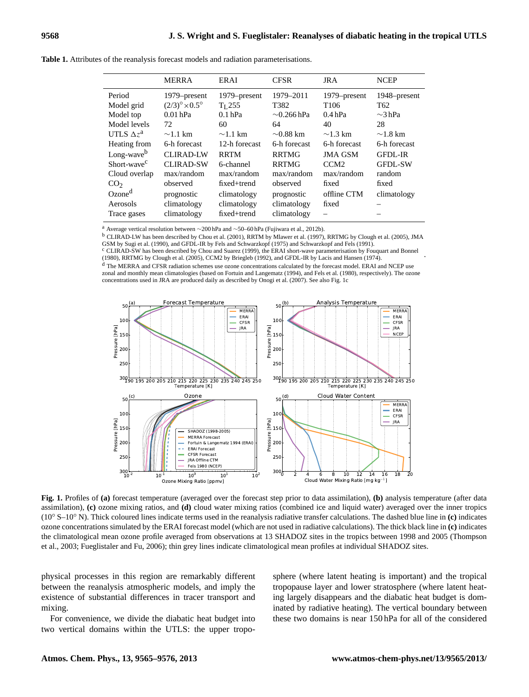|                         | <b>MERRA</b>                       | ERAI          | <b>CFSR</b>      | <b>JRA</b>       | <b>NCEP</b>     |
|-------------------------|------------------------------------|---------------|------------------|------------------|-----------------|
| Period                  | 1979–present                       | 1979–present  | 1979-2011        | 1979–present     | 1948–present    |
| Model grid              | $(2/3)^{\circ} \times 0.5^{\circ}$ | $TI$ 255      | T <sub>382</sub> | T <sub>106</sub> | T <sub>62</sub> |
| Model top               | $0.01$ hPa                         | $0.1$ hPa     | $\sim$ 0.266 hPa | 0.4 hPa          | $\sim$ 3 hPa    |
| Model levels            | 72                                 | 60            | 64               | 40               | 28              |
| UTLS $\Delta z^a$       | $\sim$ 1.1 km                      | $\sim$ 1.1 km | $\sim 0.88$ km   | $\sim$ 1.3 km    | $\sim$ 1.8 km   |
| Heating from            | 6-h forecast                       | 12-h forecast | 6-h forecast     | 6-h forecast     | 6-h forecast    |
| Long-wave <sup>b</sup>  | <b>CLIRAD-LW</b>                   | <b>RRTM</b>   | <b>RRTMG</b>     | <b>JMA GSM</b>   | <b>GFDL-IR</b>  |
| Short-wave <sup>c</sup> | <b>CLIRAD-SW</b>                   | 6-channel     | <b>RRTMG</b>     | CCM <sub>2</sub> | <b>GFDL-SW</b>  |
| Cloud overlap           | max/random                         | max/random    | max/random       | max/random       | random          |
| CO <sub>2</sub>         | observed                           | fixed+trend   | observed         | fixed            | fixed           |
| Ozone <sup>d</sup>      | prognostic                         | climatology   | prognostic       | offline CTM      | climatology     |
| Aerosols                | climatology                        | climatology   | climatology      | fixed            |                 |
| Trace gases             | climatology                        | fixed+trend   | climatology      | -                |                 |

<span id="page-3-0"></span>**Table 1.** Attributes of the reanalysis forecast models and radiation parameterisations.

<sup>a</sup> Average vertical resolution between ∼200 hPa and ∼50–60 hPa [\(Fujiwara et al.,](#page-10-10) [2012b\)](#page-10-10).

<sup>b</sup> CLIRAD-LW has been described by [Chou et al.](#page-10-11) [\(2001\)](#page-10-11), RRTM by [Mlawer et al.](#page-10-12) [\(1997\)](#page-10-12), RRTMG by [Clough et al.](#page-10-13) [\(2005\)](#page-10-13), JMA

GSM by [Sugi et al.](#page-11-3) [\(1990\)](#page-11-3), and GFDL-IR by [Fels and Schwarzkopf](#page-10-14) [\(1975\)](#page-10-14) and [Schwarzkopf and Fels](#page-11-4) [\(1991\)](#page-11-4). <sup>c</sup> CLIRAD-SW has been described by [Chou and Suarez](#page-10-15) [\(1999\)](#page-10-15), the ERAI short-wave parameterisation by [Fouquart and Bonnel](#page-10-16)

[\(1980\)](#page-10-16), RRTMG by [Clough et al.](#page-10-13) [\(2005\)](#page-10-13), CCM2 by [Briegleb](#page-10-17) [\(1992\)](#page-10-17), and GFDL-IR by [Lacis and Hansen](#page-10-18) [\(1974\)](#page-10-18).

<sup>d</sup> The MERRA and CFSR radiation schemes use ozone concentrations calculated by the forecast model. ERAI and NCEP use zonal and monthly mean climatologies (based on [Fortuin and Langematz](#page-10-19) [\(1994\)](#page-10-19), and [Fels et al.](#page-10-20) [\(1980\)](#page-10-20), respectively). The ozone concentrations used in JRA are produced daily as described by [Onogi et al.](#page-10-1) [\(2007\)](#page-10-1). See also Fig. [1c](#page-3-1)



<span id="page-3-1"></span>**Fig. 1.** Profiles of **(a)** forecast temperature (averaged over the forecast step prior to data assimilation), **(b)** analysis temperature (after data assimilation), **(c)** ozone mixing ratios, and **(d)** cloud water mixing ratios (combined ice and liquid water) averaged over the inner tropics (10◦ S–10◦ N). Thick coloured lines indicate terms used in the reanalysis radiative transfer calculations. The dashed blue line in **(c)** indicates ozone concentrations simulated by the ERAI forecast model (which are not used in radiative calculations). The thick black line in **(c)** indicates the climatological mean ozone profile averaged from observations at 13 SHADOZ sites in the tropics between 1998 and 2005 [\(Thompson](#page-11-2) [et al.,](#page-11-2) [2003;](#page-11-2) [Fueglistaler and Fu,](#page-10-9) [2006\)](#page-10-9); thin grey lines indicate climatological mean profiles at individual SHADOZ sites.

physical processes in this region are remarkably different between the reanalysis atmospheric models, and imply the existence of substantial differences in tracer transport and mixing.

For convenience, we divide the diabatic heat budget into two vertical domains within the UTLS: the upper troposphere (where latent heating is important) and the tropical tropopause layer and lower stratosphere (where latent heating largely disappears and the diabatic heat budget is dominated by radiative heating). The vertical boundary between these two domains is near 150 hPa for all of the considered

.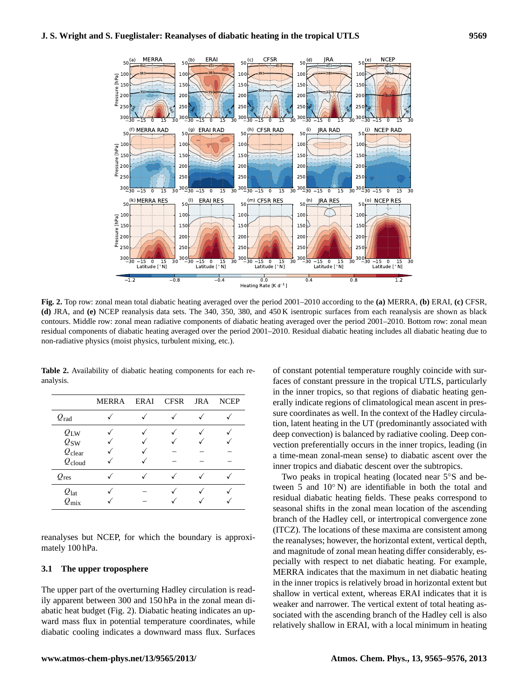

<span id="page-4-1"></span>**Fig. 2.** Top row: zonal mean total diabatic heating averaged over the period 2001–2010 according to the **(a)** MERRA, **(b)** ERAI, **(c)** CFSR, **(d)** JRA, and **(e)** NCEP reanalysis data sets. The 340, 350, 380, and 450 K isentropic surfaces from each reanalysis are shown as black contours. Middle row: zonal mean radiative components of diabatic heating averaged over the period 2001–2010. Bottom row: zonal mean residual components of diabatic heating averaged over the period 2001–2010. Residual diabatic heating includes all diabatic heating due to non-radiative physics (moist physics, turbulent mixing, etc.).

|                    | MERRA | ERAI | CFSR | <b>JRA</b> | <b>NCEP</b> |
|--------------------|-------|------|------|------------|-------------|
| $Q_{\rm rad}$      |       |      |      |            |             |
| $Q_{\text{LW}}$    |       |      |      |            |             |
| $Q_{SW}$           |       |      |      |            |             |
| $Q_{\text{clear}}$ |       |      |      |            |             |
| $Q_{\text{cloud}}$ |       |      |      |            |             |
| $Q_{\text{res}}$   |       |      |      |            |             |
| $Q_{\text{lat}}$   |       |      |      |            |             |
| $Q_{\rm mix}$      |       |      |      |            |             |

<span id="page-4-0"></span>**Table 2.** Availability of diabatic heating components for each reanalysis.

reanalyses but NCEP, for which the boundary is approximately 100 hPa.

## **3.1 The upper troposphere**

The upper part of the overturning Hadley circulation is readily apparent between 300 and 150 hPa in the zonal mean diabatic heat budget (Fig. [2\)](#page-4-1). Diabatic heating indicates an upward mass flux in potential temperature coordinates, while diabatic cooling indicates a downward mass flux. Surfaces of constant potential temperature roughly coincide with surfaces of constant pressure in the tropical UTLS, particularly in the inner tropics, so that regions of diabatic heating generally indicate regions of climatological mean ascent in pressure coordinates as well. In the context of the Hadley circulation, latent heating in the UT (predominantly associated with deep convection) is balanced by radiative cooling. Deep convection preferentially occurs in the inner tropics, leading (in a time-mean zonal-mean sense) to diabatic ascent over the inner tropics and diabatic descent over the subtropics.

Two peaks in tropical heating (located near 5◦S and between 5 and 10◦ N) are identifiable in both the total and residual diabatic heating fields. These peaks correspond to seasonal shifts in the zonal mean location of the ascending branch of the Hadley cell, or intertropical convergence zone (ITCZ). The locations of these maxima are consistent among the reanalyses; however, the horizontal extent, vertical depth, and magnitude of zonal mean heating differ considerably, especially with respect to net diabatic heating. For example, MERRA indicates that the maximum in net diabatic heating in the inner tropics is relatively broad in horizontal extent but shallow in vertical extent, whereas ERAI indicates that it is weaker and narrower. The vertical extent of total heating associated with the ascending branch of the Hadley cell is also relatively shallow in ERAI, with a local minimum in heating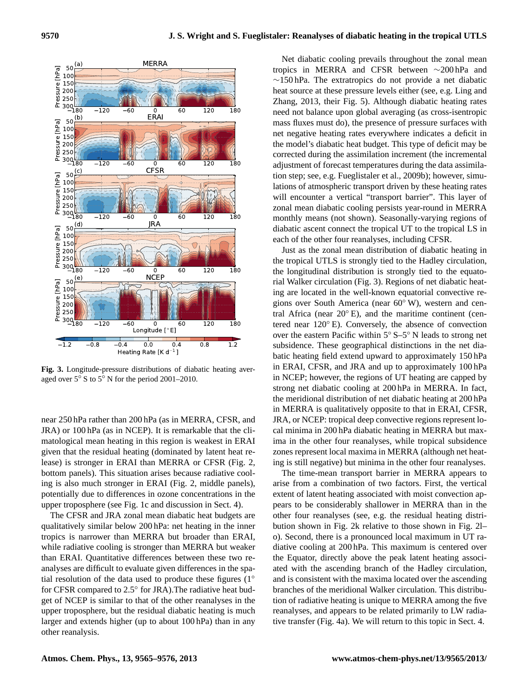

<span id="page-5-0"></span>**Fig. 3.** Longitude-pressure distributions of diabatic heating averaged over 5◦ S to 5◦ N for the period 2001–2010.

near 250 hPa rather than 200 hPa (as in MERRA, CFSR, and JRA) or 100 hPa (as in NCEP). It is remarkable that the climatological mean heating in this region is weakest in ERAI given that the residual heating (dominated by latent heat release) is stronger in ERAI than MERRA or CFSR (Fig. [2,](#page-4-1) bottom panels). This situation arises because radiative cooling is also much stronger in ERAI (Fig. [2,](#page-4-1) middle panels), potentially due to differences in ozone concentrations in the upper troposphere (see Fig. [1c](#page-3-1) and discussion in Sect. [4\)](#page-7-0).

The CFSR and JRA zonal mean diabatic heat budgets are qualitatively similar below 200 hPa: net heating in the inner tropics is narrower than MERRA but broader than ERAI, while radiative cooling is stronger than MERRA but weaker than ERAI. Quantitative differences between these two reanalyses are difficult to evaluate given differences in the spatial resolution of the data used to produce these figures (1◦ for CFSR compared to 2.5° for JRA). The radiative heat budget of NCEP is similar to that of the other reanalyses in the upper troposphere, but the residual diabatic heating is much larger and extends higher (up to about 100 hPa) than in any other reanalysis.

Net diabatic cooling prevails throughout the zonal mean tropics in MERRA and CFSR between ∼200 hPa and ∼150 hPa. The extratropics do not provide a net diabatic heat source at these pressure levels either (see, e.g. [Ling and](#page-10-4) [Zhang,](#page-10-4) [2013,](#page-10-4) their Fig. 5). Although diabatic heating rates need not balance upon global averaging (as cross-isentropic mass fluxes must do), the presence of pressure surfaces with net negative heating rates everywhere indicates a deficit in the model's diabatic heat budget. This type of deficit may be corrected during the assimilation increment (the incremental adjustment of forecast temperatures during the data assimilation step; see, e.g. [Fueglistaler et al.,](#page-10-3) [2009b\)](#page-10-3); however, simulations of atmospheric transport driven by these heating rates will encounter a vertical "transport barrier". This layer of zonal mean diabatic cooling persists year-round in MERRA monthly means (not shown). Seasonally-varying regions of diabatic ascent connect the tropical UT to the tropical LS in each of the other four reanalyses, including CFSR.

Just as the zonal mean distribution of diabatic heating in the tropical UTLS is strongly tied to the Hadley circulation, the longitudinal distribution is strongly tied to the equatorial Walker circulation (Fig. [3\)](#page-5-0). Regions of net diabatic heating are located in the well-known equatorial convective regions over South America (near 60◦ W), western and central Africa (near  $20^\circ$  E), and the maritime continent (centered near 120◦ E). Conversely, the absence of convection over the eastern Pacific within 5◦ S–5◦ N leads to strong net subsidence. These geographical distinctions in the net diabatic heating field extend upward to approximately 150 hPa in ERAI, CFSR, and JRA and up to approximately 100 hPa in NCEP; however, the regions of UT heating are capped by strong net diabatic cooling at 200 hPa in MERRA. In fact, the meridional distribution of net diabatic heating at 200 hPa in MERRA is qualitatively opposite to that in ERAI, CFSR, JRA, or NCEP: tropical deep convective regions represent local minima in 200 hPa diabatic heating in MERRA but maxima in the other four reanalyses, while tropical subsidence zones represent local maxima in MERRA (although net heating is still negative) but minima in the other four reanalyses.

The time-mean transport barrier in MERRA appears to arise from a combination of two factors. First, the vertical extent of latent heating associated with moist convection appears to be considerably shallower in MERRA than in the other four reanalyses (see, e.g. the residual heating distribution shown in Fig. [2k](#page-4-1) relative to those shown in Fig. [2l](#page-4-1)– o). Second, there is a pronounced local maximum in UT radiative cooling at 200 hPa. This maximum is centered over the Equator, directly above the peak latent heating associated with the ascending branch of the Hadley circulation, and is consistent with the maxima located over the ascending branches of the meridional Walker circulation. This distribution of radiative heating is unique to MERRA among the five reanalyses, and appears to be related primarily to LW radiative transfer (Fig. [4a](#page-6-0)). We will return to this topic in Sect. [4.](#page-7-0)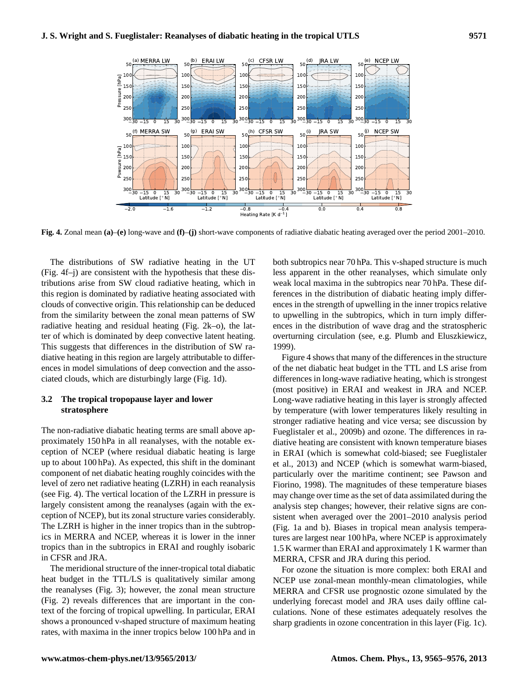(b) ERAI LW

50  $100<$  $150<sub>1</sub>$ 200



<span id="page-6-0"></span>**Fig. 4.** Zonal mean **(a)**–**(e)** long-wave and **(f)**–**(j)** short-wave components of radiative diabatic heating averaged over the period 2001–2010.

The distributions of SW radiative heating in the UT (Fig. [4f](#page-6-0)–j) are consistent with the hypothesis that these distributions arise from SW cloud radiative heating, which in this region is dominated by radiative heating associated with clouds of convective origin. This relationship can be deduced from the similarity between the zonal mean patterns of SW radiative heating and residual heating (Fig. [2k](#page-4-1)–o), the latter of which is dominated by deep convective latent heating. This suggests that differences in the distribution of SW radiative heating in this region are largely attributable to differences in model simulations of deep convection and the associated clouds, which are disturbingly large (Fig. [1d](#page-3-1)).

## **3.2 The tropical tropopause layer and lower stratosphere**

(a) MERRA LW

The non-radiative diabatic heating terms are small above approximately 150 hPa in all reanalyses, with the notable exception of NCEP (where residual diabatic heating is large up to about 100 hPa). As expected, this shift in the dominant component of net diabatic heating roughly coincides with the level of zero net radiative heating (LZRH) in each reanalysis (see Fig. [4\)](#page-6-0). The vertical location of the LZRH in pressure is largely consistent among the reanalyses (again with the exception of NCEP), but its zonal structure varies considerably. The LZRH is higher in the inner tropics than in the subtropics in MERRA and NCEP, whereas it is lower in the inner tropics than in the subtropics in ERAI and roughly isobaric in CFSR and JRA.

The meridional structure of the inner-tropical total diabatic heat budget in the TTL/LS is qualitatively similar among the reanalyses (Fig. [3\)](#page-5-0); however, the zonal mean structure (Fig. [2\)](#page-4-1) reveals differences that are important in the context of the forcing of tropical upwelling. In particular, ERAI shows a pronounced v-shaped structure of maximum heating rates, with maxima in the inner tropics below 100 hPa and in both subtropics near 70 hPa. This v-shaped structure is much less apparent in the other reanalyses, which simulate only weak local maxima in the subtropics near 70 hPa. These differences in the distribution of diabatic heating imply differences in the strength of upwelling in the inner tropics relative to upwelling in the subtropics, which in turn imply differences in the distribution of wave drag and the stratospheric overturning circulation (see, e.g. [Plumb and Eluszkiewicz,](#page-10-21) [1999\)](#page-10-21).

Figure [4](#page-6-0) shows that many of the differences in the structure of the net diabatic heat budget in the TTL and LS arise from differences in long-wave radiative heating, which is strongest (most positive) in ERAI and weakest in JRA and NCEP. Long-wave radiative heating in this layer is strongly affected by temperature (with lower temperatures likely resulting in stronger radiative heating and vice versa; see discussion by [Fueglistaler et al.,](#page-10-3) [2009b\)](#page-10-3) and ozone. The differences in radiative heating are consistent with known temperature biases in ERAI (which is somewhat cold-biased; see [Fueglistaler](#page-10-22) [et al.,](#page-10-22) [2013\)](#page-10-22) and NCEP (which is somewhat warm-biased, particularly over the maritime continent; see [Pawson and](#page-10-23) [Fiorino,](#page-10-23) [1998\)](#page-10-23). The magnitudes of these temperature biases may change over time as the set of data assimilated during the analysis step changes; however, their relative signs are consistent when averaged over the 2001–2010 analysis period (Fig. [1a](#page-3-1) and b). Biases in tropical mean analysis temperatures are largest near 100 hPa, where NCEP is approximately 1.5 K warmer than ERAI and approximately 1 K warmer than MERRA, CFSR and JRA during this period.

For ozone the situation is more complex: both ERAI and NCEP use zonal-mean monthly-mean climatologies, while MERRA and CFSR use prognostic ozone simulated by the underlying forecast model and JRA uses daily offline calculations. None of these estimates adequately resolves the sharp gradients in ozone concentration in this layer (Fig. [1c](#page-3-1)).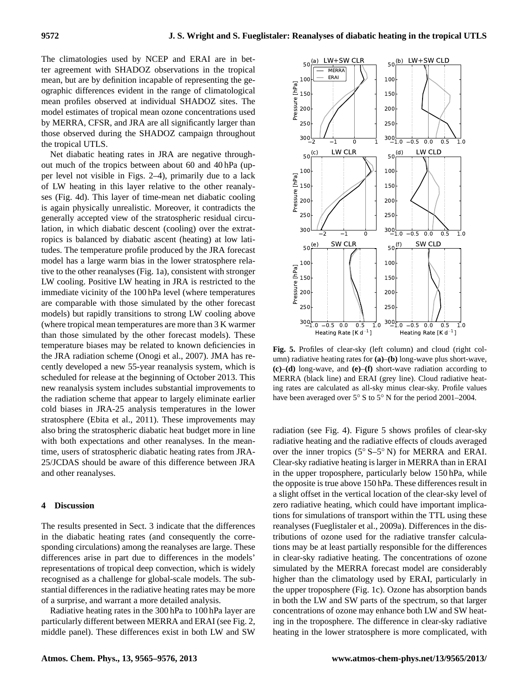The climatologies used by NCEP and ERAI are in better agreement with SHADOZ observations in the tropical mean, but are by definition incapable of representing the geographic differences evident in the range of climatological mean profiles observed at individual SHADOZ sites. The model estimates of tropical mean ozone concentrations used by MERRA, CFSR, and JRA are all significantly larger than those observed during the SHADOZ campaign throughout the tropical UTLS.

Net diabatic heating rates in JRA are negative throughout much of the tropics between about 60 and 40 hPa (upper level not visible in Figs. [2–](#page-4-1)[4\)](#page-6-0), primarily due to a lack of LW heating in this layer relative to the other reanalyses (Fig. [4d](#page-6-0)). This layer of time-mean net diabatic cooling is again physically unrealistic. Moreover, it contradicts the generally accepted view of the stratospheric residual circulation, in which diabatic descent (cooling) over the extratropics is balanced by diabatic ascent (heating) at low latitudes. The temperature profile produced by the JRA forecast model has a large warm bias in the lower stratosphere relative to the other reanalyses (Fig. [1a](#page-3-1)), consistent with stronger LW cooling. Positive LW heating in JRA is restricted to the immediate vicinity of the 100 hPa level (where temperatures are comparable with those simulated by the other forecast models) but rapidly transitions to strong LW cooling above (where tropical mean temperatures are more than 3 K warmer than those simulated by the other forecast models). These temperature biases may be related to known deficiencies in the JRA radiation scheme [\(Onogi et al.,](#page-10-1) [2007\)](#page-10-1). JMA has recently developed a new 55-year reanalysis system, which is scheduled for release at the beginning of October 2013. This new reanalysis system includes substantial improvements to the radiation scheme that appear to largely eliminate earlier cold biases in JRA-25 analysis temperatures in the lower stratosphere [\(Ebita et al.,](#page-10-24) [2011\)](#page-10-24). These improvements may also bring the stratospheric diabatic heat budget more in line with both expectations and other reanalyses. In the meantime, users of stratospheric diabatic heating rates from JRA-25/JCDAS should be aware of this difference between JRA and other reanalyses.

## <span id="page-7-0"></span>**4 Discussion**

The results presented in Sect. [3](#page-2-0) indicate that the differences in the diabatic heating rates (and consequently the corresponding circulations) among the reanalyses are large. These differences arise in part due to differences in the models' representations of tropical deep convection, which is widely recognised as a challenge for global-scale models. The substantial differences in the radiative heating rates may be more of a surprise, and warrant a more detailed analysis.

Radiative heating rates in the 300 hPa to 100 hPa layer are particularly different between MERRA and ERAI (see Fig. [2,](#page-4-1) middle panel). These differences exist in both LW and SW



<span id="page-7-1"></span>Fig. 5. Profiles of clear-sky (left column) and cloud (right column) radiative heating rates for **(a)**–**(b)** long-wave plus short-wave, **(c)**–**(d)** long-wave, and **(e)**–**(f)** short-wave radiation according to MERRA (black line) and ERAI (grey line). Cloud radiative heating rates are calculated as all-sky minus clear-sky. Profile values have been averaged over 5◦ S to 5◦ N for the period 2001–2004.

radiation (see Fig. [4\)](#page-6-0). Figure [5](#page-7-1) shows profiles of clear-sky radiative heating and the radiative effects of clouds averaged over the inner tropics (5◦ S–5◦ N) for MERRA and ERAI. Clear-sky radiative heating is larger in MERRA than in ERAI in the upper troposphere, particularly below 150 hPa, while the opposite is true above 150 hPa. These differences result in a slight offset in the vertical location of the clear-sky level of zero radiative heating, which could have important implications for simulations of transport within the TTL using these reanalyses [\(Fueglistaler et al.,](#page-10-6) [2009a\)](#page-10-6). Differences in the distributions of ozone used for the radiative transfer calculations may be at least partially responsible for the differences in clear-sky radiative heating. The concentrations of ozone simulated by the MERRA forecast model are considerably higher than the climatology used by ERAI, particularly in the upper troposphere (Fig. [1c](#page-3-1)). Ozone has absorption bands in both the LW and SW parts of the spectrum, so that larger concentrations of ozone may enhance both LW and SW heating in the troposphere. The difference in clear-sky radiative heating in the lower stratosphere is more complicated, with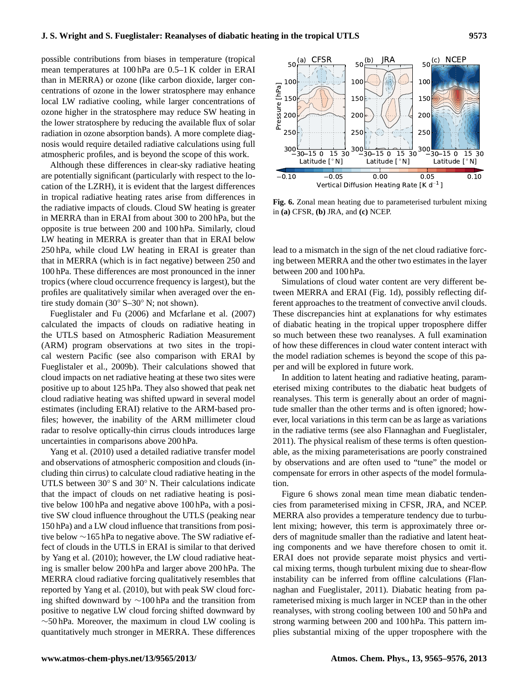possible contributions from biases in temperature (tropical mean temperatures at 100 hPa are 0.5–1 K colder in ERAI than in MERRA) or ozone (like carbon dioxide, larger concentrations of ozone in the lower stratosphere may enhance local LW radiative cooling, while larger concentrations of ozone higher in the stratosphere may reduce SW heating in the lower stratosphere by reducing the available flux of solar radiation in ozone absorption bands). A more complete diagnosis would require detailed radiative calculations using full atmospheric profiles, and is beyond the scope of this work.

Although these differences in clear-sky radiative heating are potentially significant (particularly with respect to the location of the LZRH), it is evident that the largest differences in tropical radiative heating rates arise from differences in the radiative impacts of clouds. Cloud SW heating is greater in MERRA than in ERAI from about 300 to 200 hPa, but the opposite is true between 200 and 100 hPa. Similarly, cloud LW heating in MERRA is greater than that in ERAI below 250 hPa, while cloud LW heating in ERAI is greater than that in MERRA (which is in fact negative) between 250 and 100 hPa. These differences are most pronounced in the inner tropics (where cloud occurrence frequency is largest), but the profiles are qualitatively similar when averaged over the entire study domain (30◦ S–30◦ N; not shown).

[Fueglistaler and Fu](#page-10-9) [\(2006\)](#page-10-9) and [Mcfarlane et al.](#page-10-25) [\(2007\)](#page-10-25) calculated the impacts of clouds on radiative heating in the UTLS based on Atmospheric Radiation Measurement (ARM) program observations at two sites in the tropical western Pacific (see also comparison with ERAI by [Fueglistaler et al.,](#page-10-3) [2009b\)](#page-10-3). Their calculations showed that cloud impacts on net radiative heating at these two sites were positive up to about 125 hPa. They also showed that peak net cloud radiative heating was shifted upward in several model estimates (including ERAI) relative to the ARM-based profiles; however, the inability of the ARM millimeter cloud radar to resolve optically-thin cirrus clouds introduces large uncertainties in comparisons above 200 hPa.

[Yang et al.](#page-11-5) [\(2010\)](#page-11-5) used a detailed radiative transfer model and observations of atmospheric composition and clouds (including thin cirrus) to calculate cloud radiative heating in the UTLS between 30◦ S and 30◦ N. Their calculations indicate that the impact of clouds on net radiative heating is positive below 100 hPa and negative above 100 hPa, with a positive SW cloud influence throughout the UTLS (peaking near 150 hPa) and a LW cloud influence that transitions from positive below ∼165 hPa to negative above. The SW radiative effect of clouds in the UTLS in ERAI is similar to that derived by [Yang et al.](#page-11-5) [\(2010\)](#page-11-5); however, the LW cloud radiative heating is smaller below 200 hPa and larger above 200 hPa. The MERRA cloud radiative forcing qualitatively resembles that reported by [Yang et al.](#page-11-5) [\(2010\)](#page-11-5), but with peak SW cloud forcing shifted downward by ∼100 hPa and the transition from positive to negative LW cloud forcing shifted downward by  $\sim$ 50 hPa. Moreover, the maximum in cloud LW cooling is atmospheric prodiis and is beyond the scope of this work.<br>
Although these differences in cheraky radiative beaing<br>
action of the LZRH), it is evident that the largest differences in<br>Cation of the LZRH), it is evident that



<span id="page-8-0"></span>**Fig. 6.** Zonal mean heating due to parameterised turbulent mixing in **(a)** CFSR, **(b)** JRA, and **(c)** NCEP.

lead to a mismatch in the sign of the net cloud radiative forcing between MERRA and the other two estimates in the layer between 200 and 100 hPa.

Simulations of cloud water content are very different between MERRA and ERAI (Fig. [1d](#page-3-1)), possibly reflecting different approaches to the treatment of convective anvil clouds. These discrepancies hint at explanations for why estimates of diabatic heating in the tropical upper troposphere differ so much between these two reanalyses. A full examination of how these differences in cloud water content interact with the model radiation schemes is beyond the scope of this paper and will be explored in future work.

In addition to latent heating and radiative heating, parameterised mixing contributes to the diabatic heat budgets of reanalyses. This term is generally about an order of magnitude smaller than the other terms and is often ignored; however, local variations in this term can be as large as variations in the radiative terms (see also [Flannaghan and Fueglistaler,](#page-10-7) [2011\)](#page-10-7). The physical realism of these terms is often questionable, as the mixing parameterisations are poorly constrained by observations and are often used to "tune" the model or compensate for errors in other aspects of the model formulation.

Figure [6](#page-8-0) shows zonal mean time mean diabatic tendencies from parameterised mixing in CFSR, JRA, and NCEP. MERRA also provides a temperature tendency due to turbulent mixing; however, this term is approximately three orders of magnitude smaller than the radiative and latent heating components and we have therefore chosen to omit it. ERAI does not provide separate moist physics and vertical mixing terms, though turbulent mixing due to shear-flow instability can be inferred from offline calculations [\(Flan](#page-10-7)[naghan and Fueglistaler,](#page-10-7) [2011\)](#page-10-7). Diabatic heating from parameterised mixing is much larger in NCEP than in the other reanalyses, with strong cooling between 100 and 50 hPa and strong warming between 200 and 100 hPa. This pattern implies substantial mixing of the upper troposphere with the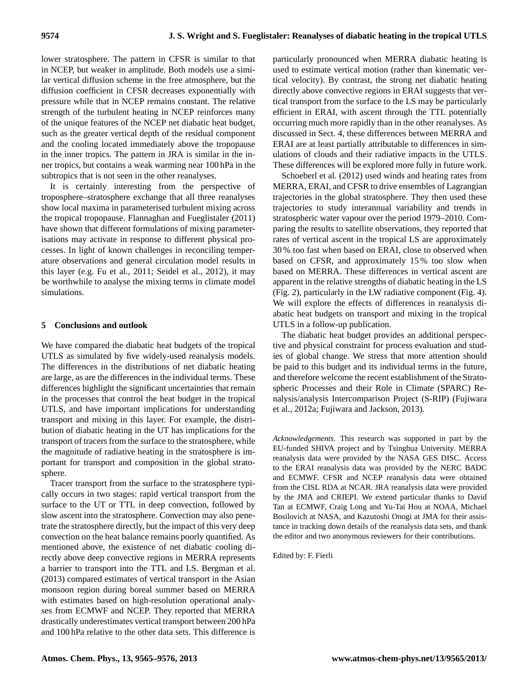lower stratosphere. The pattern in CFSR is similar to that in NCEP, but weaker in amplitude. Both models use a similar vertical diffusion scheme in the free atmosphere, but the diffusion coefficient in CFSR decreases exponentially with pressure while that in NCEP remains constant. The relative strength of the turbulent heating in NCEP reinforces many of the unique features of the NCEP net diabatic heat budget, such as the greater vertical depth of the residual component and the cooling located immediately above the tropopause in the inner tropics. The pattern in JRA is similar in the inner tropics, but contains a weak warming near 100 hPa in the subtropics that is not seen in the other reanalyses.

It is certainly interesting from the perspective of troposphere–stratosphere exchange that all three reanalyses show local maxima in parameterised turbulent mixing across the tropical tropopause. [Flannaghan and Fueglistaler](#page-10-7) [\(2011\)](#page-10-7) have shown that different formulations of mixing parameterisations may activate in response to different physical processes. In light of known challenges in reconciling temperature observations and general circulation model results in this layer (e.g. [Fu et al.,](#page-10-26) [2011;](#page-10-26) [Seidel et al.,](#page-11-6) [2012\)](#page-11-6), it may be worthwhile to analyse the mixing terms in climate model simulations.

# <span id="page-9-0"></span>**5 Conclusions and outlook**

We have compared the diabatic heat budgets of the tropical UTLS as simulated by five widely-used reanalysis models. The differences in the distributions of net diabatic heating are large, as are the differences in the individual terms. These differences highlight the significant uncertainties that remain in the processes that control the heat budget in the tropical UTLS, and have important implications for understanding transport and mixing in this layer. For example, the distribution of diabatic heating in the UT has implications for the transport of tracers from the surface to the stratosphere, while the magnitude of radiative heating in the stratosphere is important for transport and composition in the global stratosphere.

Tracer transport from the surface to the stratosphere typically occurs in two stages: rapid vertical transport from the surface to the UT or TTL in deep convection, followed by slow ascent into the stratosphere. Convection may also penetrate the stratosphere directly, but the impact of this very deep convection on the heat balance remains poorly quantified. As mentioned above, the existence of net diabatic cooling directly above deep convective regions in MERRA represents a barrier to transport into the TTL and LS. [Bergman et al.](#page-10-27) [\(2013\)](#page-10-27) compared estimates of vertical transport in the Asian monsoon region during boreal summer based on MERRA with estimates based on high-resolution operational analyses from ECMWF and NCEP. They reported that MERRA drastically underestimates vertical transport between 200 hPa and 100 hPa relative to the other data sets. This difference is particularly pronounced when MERRA diabatic heating is used to estimate vertical motion (rather than kinematic vertical velocity). By contrast, the strong net diabatic heating directly above convective regions in ERAI suggests that vertical transport from the surface to the LS may be particularly efficient in ERAI, with ascent through the TTL potentially occurring much more rapidly than in the other reanalyses. As discussed in Sect. [4,](#page-7-0) these differences between MERRA and ERAI are at least partially attributable to differences in simulations of clouds and their radiative impacts in the UTLS. These differences will be explored more fully in future work.

[Schoeberl et al.](#page-11-7) [\(2012\)](#page-11-7) used winds and heating rates from MERRA, ERAI, and CFSR to drive ensembles of Lagrangian trajectories in the global stratosphere. They then used these trajectories to study interannual variability and trends in stratospheric water vapour over the period 1979–2010. Comparing the results to satellite observations, they reported that rates of vertical ascent in the tropical LS are approximately 30 % too fast when based on ERAI, close to observed when based on CFSR, and approximately 15 % too slow when based on MERRA. These differences in vertical ascent are apparent in the relative strengths of diabatic heating in the LS (Fig. [2\)](#page-4-1), particularly in the LW radiative component (Fig. [4\)](#page-6-0). We will explore the effects of differences in reanalysis diabatic heat budgets on transport and mixing in the tropical UTLS in a follow-up publication.

The diabatic heat budget provides an additional perspective and physical constraint for process evaluation and studies of global change. We stress that more attention should be paid to this budget and its individual terms in the future, and therefore welcome the recent establishment of the Stratospheric Processes and their Role in Climate (SPARC) Renalysis/analysis Intercomparison Project (S-RIP) [\(Fujiwara](#page-10-28) [et al.,](#page-10-28) [2012a;](#page-10-28) [Fujiwara and Jackson,](#page-10-29) [2013\)](#page-10-29).

*Acknowledgements.* This research was supported in part by the EU-funded SHIVA project and by Tsinghua University. MERRA reanalysis data were provided by the NASA GES DISC. Access to the ERAI reanalysis data was provided by the NERC BADC and ECMWF. CFSR and NCEP reanalysis data were obtained from the CISL RDA at NCAR. JRA reanalysis data were provided by the JMA and CRIEPI. We extend particular thanks to David Tan at ECMWF, Craig Long and Yu-Tai Hou at NOAA, Michael Bosilovich at NASA, and Kazutoshi Onogi at JMA for their assistance in tracking down details of the reanalysis data sets, and thank the editor and two anonymous reviewers for their contributions.

Edited by: F. Fierli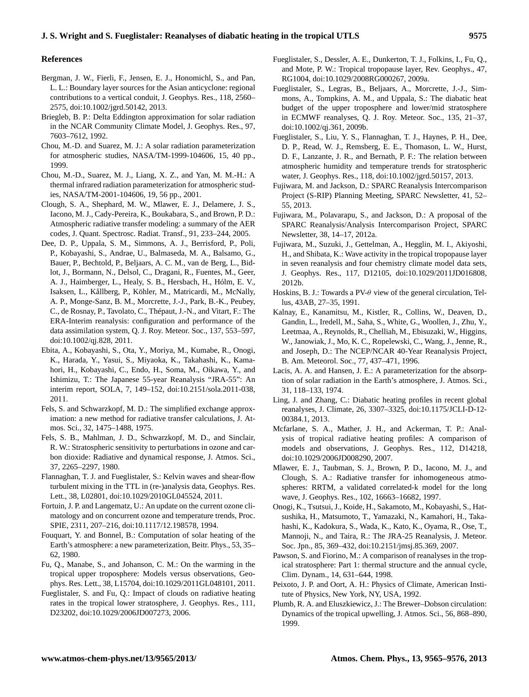## **References**

- <span id="page-10-27"></span>Bergman, J. W., Fierli, F., Jensen, E. J., Honomichl, S., and Pan, L. L.: Boundary layer sources for the Asian anticyclone: regional contributions to a vertical conduit, J. Geophys. Res., 118, 2560– 2575, doi[:10.1002/jgrd.50142,](http://dx.doi.org/10.1002/jgrd.50142) 2013.
- <span id="page-10-17"></span>Briegleb, B. P.: Delta Eddington approximation for solar radiation in the NCAR Community Climate Model, J. Geophys. Res., 97, 7603–7612, 1992.
- <span id="page-10-15"></span>Chou, M.-D. and Suarez, M. J.: A solar radiation parameterization for atmospheric studies, NASA/TM-1999-104606, 15, 40 pp., 1999.
- <span id="page-10-11"></span>Chou, M.-D., Suarez, M. J., Liang, X. Z., and Yan, M. M.-H.: A thermal infrared radiation parameterization for atmospheric studies, NASA/TM-2001-104606, 19, 56 pp., 2001.
- <span id="page-10-13"></span>Clough, S. A., Shephard, M. W., Mlawer, E. J., Delamere, J. S., Iacono, M. J., Cady-Pereira, K., Boukabara, S., and Brown, P. D.: Atmospheric radiative transfer modeling: a summary of the AER codes, J. Quant. Spectrosc. Radiat. Transf., 91, 233–244, 2005.
- <span id="page-10-0"></span>Dee, D. P., Uppala, S. M., Simmons, A. J., Berrisford, P., Poli, P., Kobayashi, S., Andrae, U., Balmaseda, M. A., Balsamo, G., Bauer, P., Bechtold, P., Beljaars, A. C. M., van de Berg, L., Bidlot, J., Bormann, N., Delsol, C., Dragani, R., Fuentes, M., Geer, A. J., Haimberger, L., Healy, S. B., Hersbach, H., Hólm, E. V., Isaksen, L., Kållberg, P., Köhler, M., Matricardi, M., McNally, A. P., Monge-Sanz, B. M., Morcrette, J.-J., Park, B.-K., Peubey, C., de Rosnay, P., Tavolato, C., Thépaut, J.-N., and Vitart, F.: The ERA-Interim reanalysis: configuration and performance of the data assimilation system, Q. J. Roy. Meteor. Soc., 137, 553–597, doi[:10.1002/qj.828,](http://dx.doi.org/10.1002/qj.828) 2011.
- <span id="page-10-24"></span>Ebita, A., Kobayashi, S., Ota, Y., Moriya, M., Kumabe, R., Onogi, K., Harada, Y., Yasui, S., Miyaoka, K., Takahashi, K., Kamahori, H., Kobayashi, C., Endo, H., Soma, M., Oikawa, Y., and Ishimizu, T.: The Japanese 55-year Reanalysis "JRA-55": An interim report, SOLA, 7, 149–152, doi[:10.2151/sola.2011-038,](http://dx.doi.org/10.2151/sola.2011-038) 2011.
- <span id="page-10-14"></span>Fels, S. and Schwarzkopf, M. D.: The simplified exchange approximation: a new method for radiative transfer calculations, J. Atmos. Sci., 32, 1475–1488, 1975.
- <span id="page-10-20"></span>Fels, S. B., Mahlman, J. D., Schwarzkopf, M. D., and Sinclair, R. W.: Stratospheric sensitivity to perturbations in ozone and carbon dioxide: Radiative and dynamical response, J. Atmos. Sci., 37, 2265–2297, 1980.
- <span id="page-10-7"></span>Flannaghan, T. J. and Fueglistaler, S.: Kelvin waves and shear-flow turbulent mixing in the TTL in (re-)analysis data, Geophys. Res. Lett., 38, L02801, doi[:10.1029/2010GL045524,](http://dx.doi.org/10.1029/2010GL045524) 2011.
- <span id="page-10-19"></span>Fortuin, J. P. and Langematz, U.: An update on the current ozone climatology and on concurrent ozone and temperature trends, Proc. SPIE, 2311, 207–216, doi[:10.1117/12.198578,](http://dx.doi.org/10.1117/12.198578) 1994.
- <span id="page-10-16"></span>Fouquart, Y. and Bonnel, B.: Computation of solar heating of the Earth's atmosphere: a new parameterization, Beitr. Phys., 53, 35– 62, 1980.
- <span id="page-10-26"></span>Fu, Q., Manabe, S., and Johanson, C. M.: On the warming in the tropical upper troposphere: Models versus observations, Geophys. Res. Lett., 38, L15704, doi[:10.1029/2011GL048101,](http://dx.doi.org/10.1029/2011GL048101) 2011.
- <span id="page-10-9"></span>Fueglistaler, S. and Fu, Q.: Impact of clouds on radiative heating rates in the tropical lower stratosphere, J. Geophys. Res., 111, D23202, doi[:10.1029/2006JD007273,](http://dx.doi.org/10.1029/2006JD007273) 2006.
- <span id="page-10-6"></span>Fueglistaler, S., Dessler, A. E., Dunkerton, T. J., Folkins, I., Fu, Q., and Mote, P. W.: Tropical tropopause layer, Rev. Geophys., 47, RG1004, doi[:10.1029/2008RG000267,](http://dx.doi.org/10.1029/2008RG000267) 2009a.
- <span id="page-10-3"></span>Fueglistaler, S., Legras, B., Beljaars, A., Morcrette, J.-J., Simmons, A., Tompkins, A. M., and Uppala, S.: The diabatic heat budget of the upper troposphere and lower/mid stratosphere in ECMWF reanalyses, Q. J. Roy. Meteor. Soc., 135, 21–37, doi[:10.1002/qj.361,](http://dx.doi.org/10.1002/qj.361) 2009b.
- <span id="page-10-22"></span>Fueglistaler, S., Liu, Y. S., Flannaghan, T. J., Haynes, P. H., Dee, D. P., Read, W. J., Remsberg, E. E., Thomason, L. W., Hurst, D. F., Lanzante, J. R., and Bernath, P. F.: The relation between atmospheric humidity and temperature trends for stratospheric water, J. Geophys. Res., 118, doi[:10.1002/jgrd.50157,](http://dx.doi.org/10.1002/jgrd.50157) 2013.
- <span id="page-10-29"></span>Fujiwara, M. and Jackson, D.: SPARC Reanalysis Intercomparison Project (S-RIP) Planning Meeting, SPARC Newsletter, 41, 52– 55, 2013.
- <span id="page-10-28"></span>Fujiwara, M., Polavarapu, S., and Jackson, D.: A proposal of the SPARC Reanalysis/Analysis Intercomparison Project, SPARC Newsletter, 38, 14–17, 2012a.
- <span id="page-10-10"></span>Fujiwara, M., Suzuki, J., Gettelman, A., Hegglin, M. I., Akiyoshi, H., and Shibata, K.: Wave activity in the tropical tropopause layer in seven reanalysis and four chemistry climate model data sets, J. Geophys. Res., 117, D12105, doi[:10.1029/2011JD016808,](http://dx.doi.org/10.1029/2011JD016808) 2012b.
- <span id="page-10-5"></span>Hoskins, B. J.: Towards a PV- $\theta$  view of the general circulation, Tellus, 43AB, 27–35, 1991.
- <span id="page-10-2"></span>Kalnay, E., Kanamitsu, M., Kistler, R., Collins, W., Deaven, D., Gandin, L., Iredell, M., Saha, S., White, G., Woollen, J., Zhu, Y., Leetmaa, A., Reynolds, R., Chelliah, M., Ebisuzaki, W., Higgins, W., Janowiak, J., Mo, K. C., Ropelewski, C., Wang, J., Jenne, R., and Joseph, D.: The NCEP/NCAR 40-Year Reanalysis Project, B. Am. Meteorol. Soc., 77, 437–471, 1996.
- <span id="page-10-18"></span>Lacis, A. A. and Hansen, J. E.: A parameterization for the absorption of solar radiation in the Earth's atmosphere, J. Atmos. Sci., 31, 118–133, 1974.
- <span id="page-10-4"></span>Ling, J. and Zhang, C.: Diabatic heating profiles in recent global reanalyses, J. Climate, 26, 3307–3325, doi[:10.1175/JCLI-D-12-](http://dx.doi.org/10.1175/JCLI-D-12-00384.1) [00384.1,](http://dx.doi.org/10.1175/JCLI-D-12-00384.1) 2013.
- <span id="page-10-25"></span>Mcfarlane, S. A., Mather, J. H., and Ackerman, T. P.: Analysis of tropical radiative heating profiles: A comparison of models and observations, J. Geophys. Res., 112, D14218, doi[:10.1029/2006JD008290,](http://dx.doi.org/10.1029/2006JD008290) 2007.
- <span id="page-10-12"></span>Mlawer, E. J., Taubman, S. J., Brown, P. D., Iacono, M. J., and Clough, S. A.: Radiative transfer for inhomogeneous atmospheres: RRTM, a validated correlated-k model for the long wave, J. Geophys. Res., 102, 16663–16682, 1997.
- <span id="page-10-1"></span>Onogi, K., Tsutsui, J., Koide, H., Sakamoto, M., Kobayashi, S., Hatsushika, H., Matsumoto, T., Yamazaki, N., Kamahori, H., Takahashi, K., Kadokura, S., Wada, K., Kato, K., Oyama, R., Ose, T., Mannoji, N., and Taira, R.: The JRA-25 Reanalysis, J. Meteor. Soc. Jpn., 85, 369–432, doi[:10.2151/jmsj.85.369,](http://dx.doi.org/10.2151/jmsj.85.369) 2007.
- <span id="page-10-23"></span>Pawson, S. and Fiorino, M.: A comparison of reanalyses in the tropical stratosphere: Part 1: thermal structure and the annual cycle, Clim. Dynam., 14, 631–644, 1998.
- <span id="page-10-8"></span>Peixoto, J. P. and Oort, A. H.: Physics of Climate, American Institute of Physics, New York, NY, USA, 1992.
- <span id="page-10-21"></span>Plumb, R. A. and Eluszkiewicz, J.: The Brewer–Dobson circulation: Dynamics of the tropical upwelling, J. Atmos. Sci., 56, 868–890, 1999.